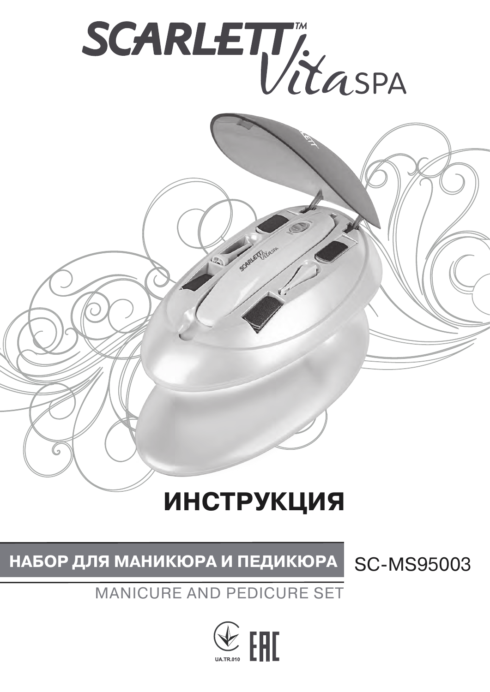

# **ИНСТРУКЦИЯ**

SCARLEY / Itasas

НАБОР ДЛЯ МАНИКЮРА И ПЕДИКЮРА SC-MS95003

## MANICURE AND PEDICURE SET

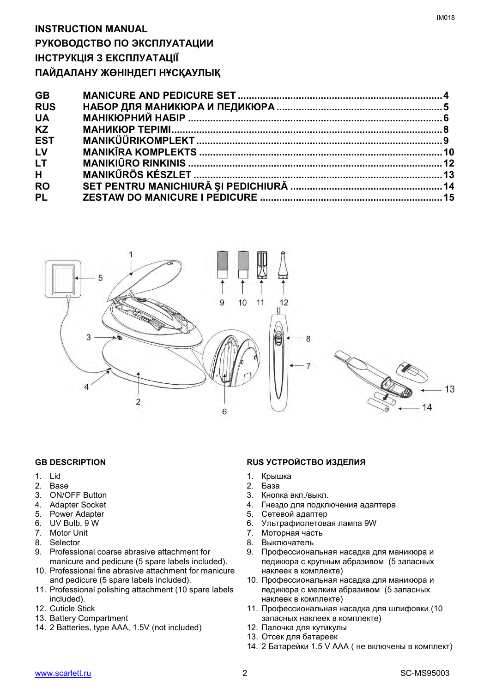## **INSTRUCTION MANUAL РУКОВОДСТВО ПО ЭКСПЛУАТАЦИИ ІНСТРУКЦІЯ З ЕКСПЛУАТАЦІЇ ПАЙДАЛАНУ ЖӨНІНДЕГІ НҰСҚАУЛЫҚ**

| <b>GB</b>      |  |
|----------------|--|
| <b>RUS</b>     |  |
| <b>UA</b>      |  |
| <b>KZ</b>      |  |
| <b>EST</b>     |  |
| LV             |  |
| LT.            |  |
| H <sub>a</sub> |  |
| <b>RO</b>      |  |
| <b>PL</b>      |  |
|                |  |



- 1. Lid
- 2. Base
- 3. ON/OFF Button
- 4. Adapter Socket
- 5. Power Adapter
- 6. UV Bulb, 9 W
- 7. Motor Unit
- 8. Selector
- 9. Professional coarse abrasive attachment for manicure and pedicure (5 spare labels included).
- 10. Professional fine abrasive attachment for manicure and pedicure (5 spare labels included).
- 11. Professional polishing attachment (10 spare labels included).
- 12. Cuticle Stick
- 13. Battery Compartment
- 14. 2 Batteries, type AAA, 1.5V (not included)

### **GB DESCRIPTION RUS УСТРОЙСТВО ИЗДЕЛИЯ**

- 1. Крышка
- 2. База
- 3. Кнопка вкл./выкл.
- 4. Гнездо для подключения адаптера
- 5. Сетевой адаптер
- 6. Ультрафиолетовая лампа 9W
- 7. Моторная часть
- 
- 8. Выключатель<br>9. Профессиона 9. Профессиональная насадка для маникюра и педикюра с крупным абразивом (5 запасных наклеек в комплекте)
- 10. Профессиональная насадка для маникюра и педикюра с мелким абразивом (5 запасных наклеек в комплекте)
- 11. Профессиональная насадка для шлифовки (10 запасных наклеек в комплекте)
- 12. Палочка для кутикулы
- 13. Отсек для батареек
- 14. 2 Батарейки 1.5 V AAA ( не включены в комплект)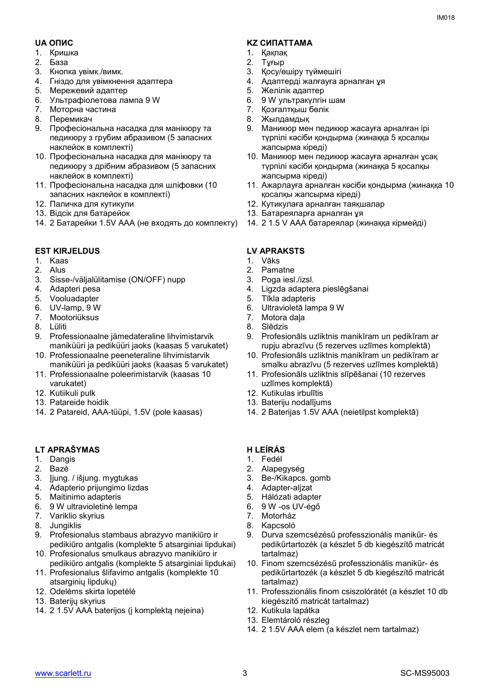- 1. Кришка
- 2. База
- 3. Кнопка увімк./вимк.
- 4. Гніздо для увімкнення адаптера
- 5. Мережевий адаптер
- 6. Ультрафіолетова лампа 9 W
- 7. Моторна частина
- 8. Перемикач
- 9. Професіональна насадка для манікюру та педикюру з грубим абразивом (5 запасних наклейок в комплекті)
- 10. Професіональна насадка для манікюру та педикюру з дрібним абразивом (5 запасних наклейок в комплекті)
- 11. Професіональна насадка для шліфовки (10 запасних наклейок в комплекті)
- 12. Паличка для кутикули
- 13. Відсік для батарейок
- 14. 2 Батарейки 1.5V AAA (не входять до комплекту)

### **EST KIRJELDUS LV APRAKSTS**

- 1. Kaas
- 2. Alus
- 3. Sisse-/väljalülitamise (ON/OFF) nupp
- 4. Adapteri pesa
- 5. Vooluadapter
- 6. UV-lamp, 9 W
- 7. Mootoriüksus
- 8. Lüliti
- 9. Professionaalne jämedateraline lihvimistarvik maniküüri ja pediküüri jaoks (kaasas 5 varukatet)
- 10. Professionaalne peeneteraline lihvimistarvik maniküüri ja pediküüri jaoks (kaasas 5 varukatet)
- 11. Professionaalne poleerimistarvik (kaasas 10 varukatet)
- 12. Kutiikuli pulk
- 13. Patareide hoidik
- 14. 2 Patareid, AAA-tüüpi, 1.5V (pole kaasas)

### **LT APRAŠYMAS H LEÍRÁS**

- 1. Dangis
- 2. Bazė
- 3. Įjung. / išjung. mygtukas
- 4. Adapterio prijungimo lizdas
- 5. Maitinimo adapteris
- 6. 9 W ultravioletinė lempa
- 7. Variklio skyrius
- 8. Jungiklis
- 9. Profesionalus stambaus abrazyvo manikiūro ir pedikiūro antgalis (komplekte 5 atsarginiai lipdukai)
- 10. Profesionalus smulkaus abrazyvo manikiūro ir pedikiūro antgalis (komplekte 5 atsarginiai lipdukai)
- 11. Profesionalus šlifavimo antgalis (komplekte 10 atsarginių lipdukų)
- 12. Odelėms skirta lopetėlė
- 13. Baterijų skyrius
- 14. 2 1.5V AAA baterijos (į komplektą neįeina)

### **UA ОПИС KZ СИПАТТАМА**

- 1. Қақпақ
- 2. Тұғыр
- 3. Қосу/өшіру түймешігі
- 4. Адаптерді жалғауға арналған ұя
- 5. Желілік адаптер
- 6. 9 W ультракүлгін шам
- 7. Қозғалтқыш бөлік
- 8. Жылдамдық
- 9. Маникюр мен педикюр жасауға арналған ірі түрпілі кәсіби қондырма (жинаққа 5 қосалқы жапсырма кіреді)
- 10. Маникюр мен педикюр жасауға арналған ұсақ түрпілі кәсіби қондырма (жинаққа 5 қосалқы жапсырма кіреді)
- 11. Ажарлауға арналған кәсіби қондырма (жинаққа 10 қосалқы жапсырма кіреді)
- 12. Кутикулаға арналған таяқшалар
- 13. Батареяларға арналған ұя
- 14. 2 1.5 V AAA батареялар (жинаққа кірмейді)

- 1. Vāks
- 2. Pamatne
- 3. Poga iesl./izsl.
- 4. Ligzda adaptera pieslēgšanai<br>5. Tīkla adapteris
- 5. Tīkla adapteris<br>6. Ultravioletā lam
- 6. Ultravioletā lampa 9 W
- 7. Motora daļa
- 8. Slēdzis
- 9. Profesionāls uzliktnis manikīram un pedikīram ar rupju abrazīvu (5 rezerves uzlīmes komplektā)
- 10. Profesionāls uzliktnis manikīram un pedikīram ar smalku abrazīvu (5 rezerves uzlīmes komplektā)
- 11. Profesionāls uzliktnis slīpēšanai (10 rezerves uzlīmes komplektā)
- 12. Kutikulas irbulītis
- 13. Bateriju nodalījums
- 14. 2 Baterijas 1.5V AAA (neietilpst komplektā)

- 1. Fedél
- 2. Alapegység
- 3. Be-/Kikapcs. gomb
- 4. Adapter-aljzat
- 5. Hálózati adapter
- 6. 9 W -os UV-égő
- 7. Motorház
- 8. Kapcsoló
- 9. Durva szemcsézésű professzionális manikűr- és pedikűrtartozék (a készlet 5 db kiegészítő matricát tartalmaz)
- 10. Finom szemcsézésű professzionális manikűr- és pedikűrtartozék (a készlet 5 db kiegészítő matricát tartalmaz)
- 11. Professzionális finom csiszolórátét (a készlet 10 db kiegészítő matricát tartalmaz)
- 12. Kutikula lapátka
- 13. Elemtároló részleg
- 14. 2 1.5V AAA elem (a készlet nem tartalmaz)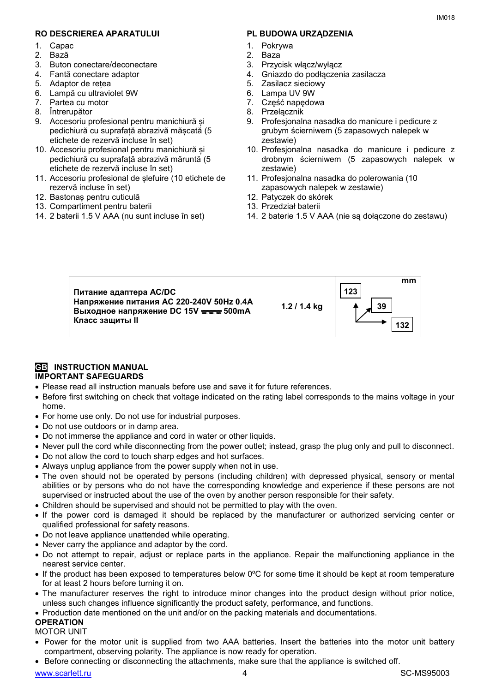### **RO DESCRIEREA APARATULUI PL BUDOWA URZĄDZENIA**

- 1. Capac
- 2. Bază
- 3. Buton conectare/deconectare
- 4. Fantă conectare adaptor
- 5. Adaptor de rețea
- 6. Lampă cu ultraviolet 9W
- 7. Partea cu motor
- 8. Întrerupător
- 9. Accesoriu profesional pentru manichiură și pedichiură cu suprafață abrazivă mășcată (5 etichete de rezervă incluse în set)
- 10. Accesoriu profesional pentru manichiură și pedichiură cu suprafață abrazivă măruntă (5 etichete de rezervă incluse în set)
- 11. Accesoriu profesional de șlefuire (10 etichete de rezervă incluse în set)
- 12. Bastonaș pentru cuticulă
- 13. Compartiment pentru baterii
- 14. 2 baterii 1.5 V AAA (nu sunt incluse în set)

- 1. Pokrywa
- 2. Baza
- 3. Przycisk włącz/wyłącz
- 4. Gniazdo do podłączenia zasilacza
- 5. Zasilacz sieciowy
- 6. Lampa UV 9W
- 7. Część napędowa
- 8. Przełącznik
- 9. Profesjonalna nasadka do manicure i pedicure z grubym ścierniwem (5 zapasowych nalepek w zestawie)
- 10. Profesjonalna nasadka do manicure i pedicure z drobnym ścierniwem (5 zapasowych nalepek w zestawie)
- 11. Profesjonalna nasadka do polerowania (10 zapasowych nalepek w zestawie)
- 12. Patyczek do skórek
- 13. Przedział baterii
- 14. 2 baterie 1.5 V AAA (nie są dołączone do zestawu)

| Питание адаптера AC/DC<br>Напряжение питания AC 220-240V 50Hz 0.4A<br>Выходное напряжение DC 15V === 500mA<br><b>Класс защиты II</b> | 1.2 / 1.4 kg | mm<br>123<br>39 |
|--------------------------------------------------------------------------------------------------------------------------------------|--------------|-----------------|
|--------------------------------------------------------------------------------------------------------------------------------------|--------------|-----------------|

## **GB** INSTRUCTION MANUAL

### **IMPORTANT SAFEGUARDS**

- Please read all instruction manuals before use and save it for future references.
- Before first switching on check that voltage indicated on the rating label corresponds to the mains voltage in your home.
- For home use only. Do not use for industrial purposes.
- Do not use outdoors or in damp area.
- Do not immerse the appliance and cord in water or other liquids.
- Never pull the cord while disconnecting from the power outlet; instead, grasp the plug only and pull to disconnect.
- Do not allow the cord to touch sharp edges and hot surfaces.
- Always unplug appliance from the power supply when not in use.
- The oven should not be operated by persons (including children) with depressed physical, sensory or mental abilities or by persons who do not have the corresponding knowledge and experience if these persons are not supervised or instructed about the use of the oven by another person responsible for their safety.
- Children should be supervised and should not be permitted to play with the oven.
- If the power cord is damaged it should be replaced by the manufacturer or authorized servicing center or qualified professional for safety reasons.
- Do not leave appliance unattended while operating.
- Never carry the appliance and adaptor by the cord.
- Do not attempt to repair, adjust or replace parts in the appliance. Repair the malfunctioning appliance in the nearest service center.
- If the product has been exposed to temperatures below 0ºC for some time it should be kept at room temperature for at least 2 hours before turning it on.
- The manufacturer reserves the right to introduce minor changes into the product design without prior notice, unless such changes influence significantly the product safety, performance, and functions.
- Production date mentioned on the unit and/or on the packing materials and documentations.

### **OPERATION**

- MOTOR UNIT
- Power for the motor unit is supplied from two ААA batteries. Insert the batteries into the motor unit battery compartment, observing polarity. The appliance is now ready for operation.
- Before connecting or disconnecting the attachments, make sure that the appliance is switched off.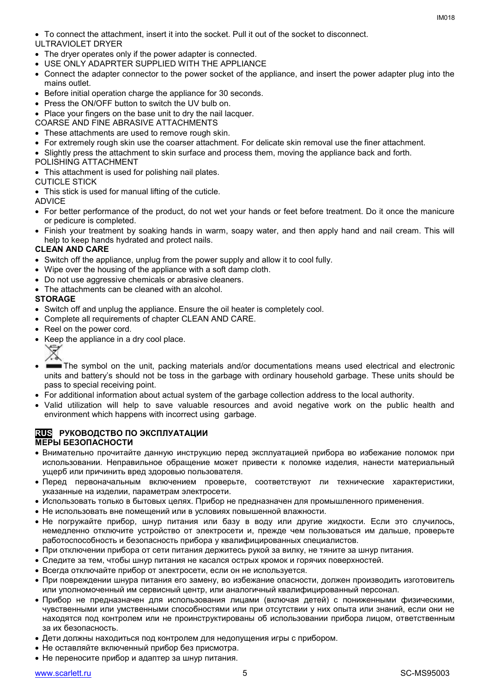To connect the attachment, insert it into the socket. Pull it out of the socket to disconnect.

### ULTRAVIOLET DRYER

- The dryer operates only if the power adapter is connected.
- USE ONLY ADAPRTER SUPPLIED WITH THE APPLIANCE
- Connect the adapter connector to the power socket of the appliance, and insert the power adapter plug into the mains outlet.
- Before initial operation charge the appliance for 30 seconds.
- Press the ON/OFF button to switch the UV bulb on.
- Place your fingers on the base unit to dry the nail lacquer.
- COARSE AND FINE ABRASIVE ATTACHMENTS
- These attachments are used to remove rough skin.
- For extremely rough skin use the coarser attachment. For delicate skin removal use the finer attachment.
- Slightly press the attachment to skin surface and process them, moving the appliance back and forth.

### POLISHING ATTACHMENT

• This attachment is used for polishing nail plates.

### CUTICLE STICK

This stick is used for manual lifting of the cuticle.

ADVICE

- For better performance of the product, do not wet your hands or feet before treatment. Do it once the manicure or pedicure is completed.
- Finish your treatment by soaking hands in warm, soapy water, and then apply hand and nail cream. This will help to keep hands hydrated and protect nails.

### **CLEAN AND CARE**

- Switch off the appliance, unplug from the power supply and allow it to cool fully.
- Wipe over the housing of the appliance with a soft damp cloth.
- Do not use aggressive chemicals or abrasive cleaners.
- The attachments can be cleaned with an alcohol.

### **STORAGE**

- Switch off and unplug the appliance. Ensure the oil heater is completely cool.
- Complete all requirements of chapter CLEAN AND CARE.
- Reel on the power cord.
- Keep the appliance in a dry cool place.
	-
- The symbol on the unit, packing materials and/or documentations means used electrical and electronic units and battery's should not be toss in the garbage with ordinary household garbage. These units should be pass to special receiving point.
- For additional information about actual system of the garbage collection address to the local authority.
- Valid utilization will help to save valuable resources and avoid negative work on the public health and environment which happens with incorrect using garbage.

### **RUS РУКОВОДСТВО ПО ЭКСПЛУАТАЦИИ МЕРЫ БЕЗОПАСНОСТИ**

- Внимательно прочитайте данную инструкцию перед эксплуатацией прибора во избежание поломок при использовании. Неправильное обращение может привести к поломке изделия, нанести материальный ущерб или причинить вред здоровью пользователя.
- Перед первоначальным включением проверьте, соответствуют ли технические характеристики, указанные на изделии, параметрам электросети.
- Использовать только в бытовых целях. Прибор не предназначен для промышленного применения.
- Не использовать вне помещений или в условиях повышенной влажности.
- Не погружайте прибор, шнур питания или базу в воду или другие жидкости. Если это случилось, немедленно отключите устройство от электросети и, прежде чем пользоваться им дальше, проверьте работоспособность и безопасность прибора у квалифицированных специалистов.
- При отключении прибора от сети питания держитесь рукой за вилку, не тяните за шнур питания.
- Следите за тем, чтобы шнур питания не касался острых кромок и горячих поверхностей.
- Всегда отключайте прибор от электросети, если он не используется.
- При повреждении шнура питания его замену, во избежание опасности, должен производить изготовитель или уполномоченный им сервисный центр, или аналогичный квалифицированный персонал.
- Прибор не предназначен для использования лицами (включая детей) с пониженными физическими, чувственными или умственными способностями или при отсутствии у них опыта или знаний, если они не находятся под контролем или не проинструктированы об использовании прибора лицом, ответственным за их безопасность.
- Дети должны находиться под контролем для недопущения игры с прибором.
- Не оставляйте включенный прибор без присмотра.
- Не переносите прибор и адаптер за шнур питания.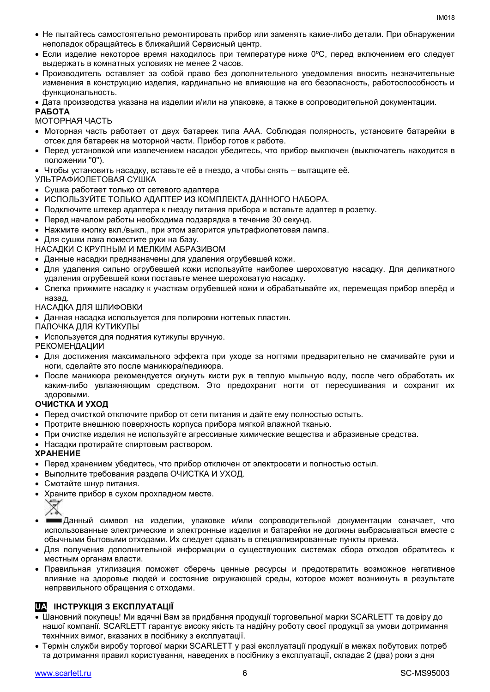- Не пытайтесь самостоятельно ремонтировать прибор или заменять какие-либо детали. При обнаружении неполадок обращайтесь в ближайший Сервисный центр.
- Если изделие некоторое время находилось при температуре ниже 0°С, перед включением его следует выдержать в комнатных условиях не менее 2 часов.
- Производитель оставляет за собой право без дополнительного уведомления вносить незначительные изменения в конструкцию изделия, кардинально не влияющие на его безопасность, работоспособность и функциональность.
- Дата производства указана на изделии и/или на упаковке, а также в сопроводительной документации.

### **РАБОТА**

### МОТОРНАЯ ЧАСТЬ

- Моторная часть работает от двух батареек типа ААA. Соблюдая полярность, установите батарейки в отсек для батареек на моторной части. Прибор готов к работе.
- Перед установкой или извлечением насадок убедитесь, что прибор выключен (выключатель находится в положении "0").
- Чтобы установить насадку, вставьте её в гнездо, а чтобы снять вытащите её.

### УЛЬТРАФИОЛЕТОВАЯ СУШКА

- Сушка работает только от сетевого адаптера
- ИСПОЛЬЗУЙТЕ ТОЛЬКО АДАПТЕР ИЗ КОМПЛЕКТА ДАННОГО НАБОРА.
- Подключите штекер адаптера к гнезду питания прибора и вставьте адаптер в розетку.
- Перед началом работы необходима подзарядка в течение 30 секунд.
- Нажмите кнопку вкл./выкл., при этом загорится ультрафиолетовая лампа.
- Для сушки лака поместите руки на базу.

НАСАДКИ С КРУПНЫМ И МЕЛКИМ АБРАЗИВОМ

- Данные насадки предназначены для удаления огрубевшей кожи.
- Для удаления сильно огрубевшей кожи используйте наиболее шероховатую насадку. Для деликатного удаления огрубевшей кожи поставьте менее шероховатую насадку.
- Слегка прижмите насадку к участкам огрубевшей кожи и обрабатывайте их, перемещая прибор вперёд и назад.

НАСАДКА ДЛЯ ШЛИФОВКИ

Данная насадка используется для полировки ногтевых пластин.

ПАЛОЧКА ДЛЯ КУТИКУЛЫ

Используется для поднятия кутикулы вручную.

РЕКОМЕНДАЦИИ

- Для достижения максимального эффекта при уходе за ногтями предварительно не смачивайте руки и ноги, сделайте это после маникюра/педикюра.
- После маникюра рекомендуется окунуть кисти рук в теплую мыльную воду, после чего обработать их каким-либо увлажняющим средством. Это предохранит ногти от пересушивания и сохранит их здоровыми.

### **ОЧИСТКА И УХОД**

- Перед очисткой отключите прибор от сети питания и дайте ему полностью остыть.
- Протрите внешнюю поверхность корпуса прибора мягкой влажной тканью.
- При очистке изделия не используйте агрессивные химические вещества и абразивные средства.
- Насадки протирайте спиртовым раствором.

### **ХРАНЕНИЕ**

- Перед хранением убедитесь, что прибор отключен от электросети и полностью остыл.
- Выполните требования раздела ОЧИСТКА И УХОД.
- Смотайте шнур питания.
- Храните прибор в сухом прохладном месте.

- Данный символ на изделии, упаковке и/или сопроводительной документации означает, что использованные электрические и электронные изделия и батарейки не должны выбрасываться вместе с обычными бытовыми отходами. Их следует сдавать в специализированные пункты приема.
- Для получения дополнительной информации о существующих системах сбора отходов обратитесь к местным органам власти.
- Правильная утилизация поможет сберечь ценные ресурсы и предотвратить возможное негативное влияние на здоровье людей и состояние окружающей среды, которое может возникнуть в результате неправильного обращения с отходами.

### **UA ІНСТРУКЦІЯ З ЕКСПЛУАТАЦІЇ**

- Шановний покупець! Ми вдячні Вам за придбання продукції торговельної марки SCARLETT та довіру до нашої компанії. SCARLETT гарантує високу якість та надійну роботу своєї продукції за умови дотримання технічних вимог, вказаних в посібнику з експлуатації.
- Термін служби виробу торгової марки SCARLETT у разі експлуатації продукції в межах побутових потреб та дотримання правил користування, наведених в посібнику з експлуатації, складає 2 (два) роки з дня

Ҿ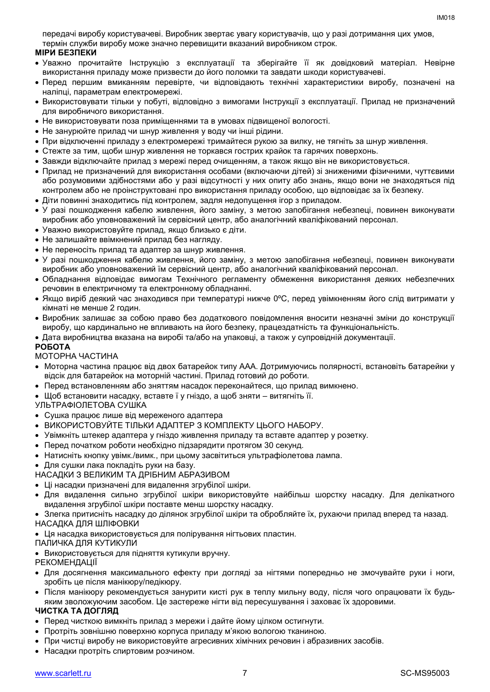передачі виробу користувачеві. Виробник звертає увагу користувачів, що у разі дотримання цих умов, термін служби виробу може значно перевищити вказаний виробником строк.

### **МІРИ БЕЗПЕКИ**

- Уважно прочитайте Інструкцію з експлуатації та зберігайте її як довідковий матеріал. Невірне використання приладу може призвести до його поломки та завдати шкоди користувачеві.
- Перед першим вмиканням перевірте, чи відповідають технічні характеристики виробу, позначені на наліпці, параметрам електромережі.
- Використовувати тільки у побуті, відповідно з вимогами Інструкції з експлуатації. Прилад не призначений для виробничого використання.
- Не використовувати поза приміщеннями та в умовах підвищеної вологості.
- Не занурюйте прилад чи шнур живлення у воду чи інші рідини.
- При відключенні приладу з електромережі тримайтеся рукою за вилку, не тягніть за шнур живлення.
- Стежте за тим, щоби шнур живлення не торкався гострих крайок та гарячих поверхонь.
- Завжди відключайте прилад з мережі перед очищенням, а також якщо він не використовується.
- Прилад не призначений для використання особами (включаючи дітей) зі зниженими фізичними, чуттєвими або розумовими здібностями або у разі відсутності у них опиту або знань, якщо вони не знаходяться під контролем або не проінструктовані про використання приладу особою, що відповідає за їх безпеку.
- Діти повинні знаходитись під контролем, задля недопущення ігор з приладом.
- У разі пошкодження кабелю живлення, його заміну, з метою запобігання небезпеці, повинен виконувати виробник або уповноважений їм сервісний центр, або аналогічний кваліфікований персонал.
- Уважно використовуйте прилад, якщо близько є діти.
- Не залишайте ввімкнений прилад без нагляду.
- Не переносіть прилад та адаптер за шнур живлення.
- У разі пошкодження кабелю живлення, його заміну, з метою запобігання небезпеці, повинен виконувати виробник або уповноважений їм сервісний центр, або аналогічний кваліфікований персонал.
- Обладнання відповідає вимогам Технічного регламенту обмеження використання деяких небезпечних речовин в електричному та електронному обладнанні.
- Якщо виріб деякий час знаходився при температурі нижче 0ºC, перед увімкненням його слід витримати у кімнаті не менше 2 годин.
- Виробник залишає за собою право без додаткового повідомлення вносити незначні зміни до конструкції виробу, що кардинально не впливають на його безпеку, працездатність та функціональність.
- Дата виробництва вказана на виробі та/або на упаковці, а також у супровідній документації.

### **РОБОТА**

### МОТОРНА ЧАСТИНА

- Моторна частина працює від двох батарейок типу ААA. Дотримуючись полярності, встановіть батарейки у відсік для батарейок на моторній частині. Прилад готовий до роботи.
- Перед встановленням або зняттям насадок переконайтеся, що прилад вимкнено.
- Щоб встановити насадку, вставте ї у гніздо, а щоб зняти витягніть її.
- УЛЬТРАФІОЛЕТОВА СУШКА
- Сушка працює лише від мереженого адаптера
- ВИКОРИСТОВУЙТЕ ТІЛЬКИ АДАПТЕР З КОМПЛЕКТУ ЦЬОГО НАБОРУ.
- Увімкніть штекер адаптера у гніздо живлення приладу та вставте адаптер у розетку.
- Перед початком роботи необхідно підзарядити протягом 30 секунд.
- Натисніть кнопку увімк./вимк., при цьому засвітиться ультрафіолетова лампа.
- Для сушки лака покладіть руки на базу.
- НАСАДКИ З ВЕЛИКИМ ТА ДРІБНИМ АБРАЗИВОМ
- Ці насадки призначені для видалення згрубілої шкіри.
- Для видалення сильно згрубілої шкіри використовуйте найбільш шорстку насадку. Для делікатного видалення згрубілої шкіри поставте менш шорстку насадку.
- Злегка притисніть насадку до ділянок згрубілої шкіри та обробляйте їх, рухаючи прилад вперед та назад. НАСАДКА ДЛЯ ШЛІФОВКИ

Ця насадка використовується для полірування нігтьових пластин.

### ПАЛИЧКА ДЛЯ КУТИКУЛИ

- Використовується для підняття кутикули вручну.
- РЕКОМЕНДАЦІЇ
- Для досягнення максимального ефекту при догляді за нігтями попередньо не змочувайте руки і ноги, зробіть це після манікюру/педікюру.
- Після манікюру рекомендується занурити кисті рук в теплу мильну воду, після чого опрацювати їх будьяким зволожуючим засобом. Це застереже нігти від пересушування і заховає їх здоровими.

### **ЧИСТКА TA ДОГЛЯД**

- Перед чисткою вимкніть прилад з мережи і дайте йому цілком остигнути.
- Протріть зовнішню поверхню корпуса приладу м'якою вологою тканиною.
- При чистці виробу не використовуйте агресивних хімічних речовин і абразивних засобів.
- Насадки протріть спиртовим розчином.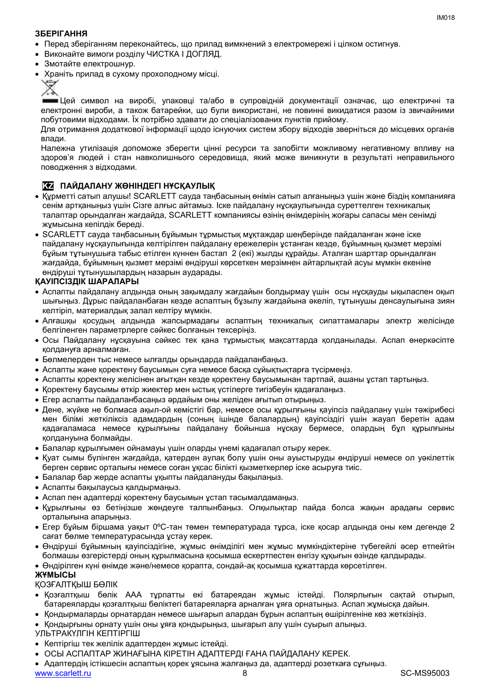### **ЗБЕРІГАННЯ**

- Перед зберіганням переконайтесь, що прилад вимкнений з електромережі і цілком остигнув.
- Виконайте вимоги розділу ЧИСТКА І ДОГЛЯД.
- Змотайте електрошнур.
- Храніть прилад в сухому прохолодному місці.



Цей символ на виробі, упаковці та/або в супровідній документації означає, що електричні та електронні вироби, а також батарейки, що були використані, не повинні викидатися разом із звичайними побутовими відходами. Їх потрібно здавати до спеціалізованих пунктів прийому.

Для отримання додаткової інформації щодо існуючих систем збору відходів зверніться до місцевих органів влади.

Належна утилізація допоможе зберегти цінні ресурси та запобігти можливому негативному впливу на здоров'я людей і стан навколишнього середовища, який може виникнути в результаті неправильного поводження з відходами.

### **KZ ПАЙДАЛАНУ ЖӨНІНДЕГІ НҰСҚАУЛЫҚ**

- Құрметті сатып алушы! SCARLETT сауда таңбасының өнімін сатып алғаныңыз үшін және біздің компанияға сенім артқаныңыз үшін Сізге алғыс айтамыз. Іске пайдалану нұсқаулығында суреттелген техникалық талаптар орындалған жағдайда, SCARLETT компаниясы өзінің өнімдерінің жоғары сапасы мен сенімді жұмысына кепілдік береді.
- SCARLETT сауда таңбасының бұйымын тұрмыстық мұқтаждар шеңберінде пайдаланған және іске пайдалану нұсқаулығында келтірілген пайдалану ережелерін ұстанған кезде, бұйымның қызмет мерзімі бұйым тұтынушыға табыс етілген күннен бастап 2 (екі) жылды құрайды. Аталған шарттар орындалған жағдайда, бұйымның қызмет мерзімі өндіруші көрсеткен мерзімнен айтарлықтай асуы мүмкін екеніне өндіруші тұтынушылардың назарын аударады.

### **ҚАУІПСІЗДІК ШАРАЛАРЫ**

- Аспапты пайдалану алдында оның зақымдалу жағдайын болдырмау үшін осы нұсқауды ықыласпен оқып шығыңыз. Дұрыс пайдаланбаған кезде аспаптың бұзылу жағдайына әкеліп, тұтынушы денсаулығына зиян келтіріп, материалдық залал келтіру мүмкін.
- Алғашқы қосудың алдында жапсырмадағы аспаптың техникалық сипаттамалары электр желісінде белгіленген параметрлерге сәйкес болғанын тексеріңіз.
- Осы Пайдалану нұсқауына сәйкес тек қана тұрмыстық мақсаттарда қолданылады. Аспап өнеркәсіпте қолдануға арналмаған.
- Бөлмелерден тыс немесе ылғалды орындарда пайдаланбаңыз.
- Аспапты және қоректену баусымын суға немесе басқа сұйықтықтарға түсірмеңіз.
- Аспапты қоректену желісінен ағытқан кезде қоректену баусымынан тартпай, ашаны ұстап тартыңыз.
- Қоректену баусымы өткір жиектер мен ыстық үстілерге тигізбеуін қадағалаңыз.
- Егер аспапты пайдаланбасаңыз әрдайым оны желіден ағытып отырыңыз.
- Дене, жүйке не болмаса ақыл-ой кемістігі бар, немесе осы құрылғыны қауіпсіз пайдалану үшін тәжірибесі мен білімі жеткіліксіз адамдардың (соның ішінде балалардың) қауіпсіздігі үшін жауап беретін адам қадағаламаса немесе құрылғыны пайдалану бойынша нұсқау бермесе, олардың бұл құрылғыны қолдануына болмайды.
- Балалар құрылғымен ойнамауы үшін оларды үнемі қадағалап отыру керек.
- Қуат сымы бүлінген жағдайда, қатерден аулақ болу үшін оны ауыстыруды өндіруші немесе ол уәкілеттік берген сервис орталығы немесе соған ұқсас білікті қызметкерлер іске асыруға тиіс.
- Балалар бар жерде аспапты ұқыпты пайдалануды бақылаңыз.
- Аспапты бақылаусыз қалдырмаңыз.
- Аспап пен адаптерді қоректену баусымын ұстап тасымалдамаңыз.
- Құрылғыны өз бетіңізше жөндеуге талпынбаңыз. Олқылықтар пайда болса жақын арадағы сервис орталығына апарыңыз.
- Егер бұйым біршама уақыт 0ºC-тан төмен температурада тұрса, іске қосар алдында оны кем дегенде 2 сағат бөлме температурасында ұстау керек.
- Өндіруші бұйымның қауіпсіздігіне, жұмыс өнімділігі мен жұмыс мүмкіндіктеріне түбегейлі әсер етпейтін болмашы өзгерістерді оның құрылмасына қосымша ескертпестен енгізу құқығын өзінде қалдырады.
- Өндірілген күні өнімде және/немесе қорапта, сондай-ақ қосымша құжаттарда көрсетілген.

### **ЖҰМЫСЫ**

### ҚОЗҒАЛТҚЫШ БӨЛІК

- Қозғалтқыш бөлік ААA тұрпатты екі батареядан жұмыс істейді. Полярлығын сақтай отырып, батареяларды қозғалтқыш бөліктегі батареяларға арналған ұяға орнатыңыз. Аспап жұмысқа дайын.
- Қондырмаларды орнатардан немесе шығарып алардан бұрын аспаптың өшірілгеніне көз жеткізіңіз.
- Қондырғыны орнату үшін оны ұяға қондырыңыз, шығарып алу үшін суырып алыңыз.
- УЛЬТРАКҮЛГІН КЕПТІРГІШ
- Кептіргіш тек желілік адаптерден жұмыс істейді.
- ОСЫ АСПАПТАР ЖИНАҒЫНА КІРЕТІН АДАПТЕРДІ ҒАНА ПАЙДАЛАНУ КЕРЕК.
- www.scarlett.ru 8 and 8 SC-MS95003 Адаптердің істікшесін аспаптың қорек ұясына жалғаңыз да, адаптерді розеткаға сұғыңыз.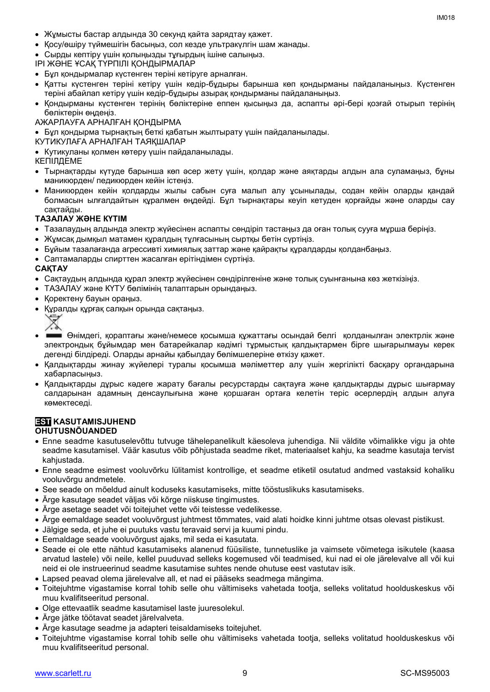- Жұмысты бастар алдында 30 секунд қайта зарядтау қажет.
- Қосу/өшіру түймешігін басыңыз, сол кезде ультракүлгін шам жанады.
- Сырды кептіру үшін қолыңызды тұғырдың ішіне салыңыз.

ІРІ ЖӘНЕ ҰСАҚ ТҮРПІЛІ ҚОНДЫРМАЛАР

- Бұл қондырмалар күстенген теріні кетіруге арналған.
- Қатты күстенген теріні кетіру үшін кедір-бұдыры барынша көп қондырманы пайдаланыңыз. Күстенген теріні абайлап кетіру үшін кедір-бұдыры азырақ қондырманы пайдаланыңыз.
- Қондырманы күстенген терінің бөліктеріне еппен қысыңыз да, аспапты әрі-бері қозғай отырып терінің бөліктерін өңдеңіз.

### АЖАРЛАУҒА АРНАЛҒАН ҚОНДЫРМА

- Бұл қондырма тырнақтың беткі қабатын жылтырату үшін пайдаланылады.
- КУТИКУЛАҒА АРНАЛҒАН ТАЯҚШАЛАР
- Кутикуланы қолмен көтеру үшін пайдаланылады.

### КЕПІЛДЕМЕ

- Тырнақтарды күтуде барынша көп әсер жету үшін, қолдар және аяқтарды алдын ала суламаңыз, бұны маникюрден/ педикюрден кейін істеңіз.
- Маникюрден кейін қолдарды жылы сабын суға малып алу ұсынылады, содан кейін оларды қандай болмасын ылғалдайтын құралмен өңдейді. Бұл тырнақтары кеуіп кетуден қорғайды және оларды сау сақтайды.

### **ТАЗАЛАУ ЖӘНЕ КҮТІМ**

- Тазалаудың алдында электр жүйесінен аспапты сөндіріп тастаңыз да оған толық сууға мұрша беріңіз.
- Жұмсақ дымқыл матамен құралдың тұлғасының сыртқы бетін сүртіңіз.
- Бұйым тазалағанда агрессивті химиялық заттар және қайрақты құралдарды қолданбаңыз.
- Саптамаларды спирттен жасалған ерітіндімен сүртіңіз.

### **САҚТАУ**

- Сақтаудың алдында құрал электр жүйесінен сөндірілгеніне және толық суынғанына көз жеткізіңіз.
- ТАЗАЛАУ және КҮТУ бөлімінің талаптарын орындаңыз.
- Қоректену бауын ораңыз.
- Құралды құрғақ салқын орында сақтаңыз.



- Өнімдегі, қораптағы және/немесе қосымша құжаттағы осындай белгі қолданылған электрлік және электрондық бұйымдар мен батарейкалар кәдімгі тұрмыстық қалдықтармен бірге шығарылмауы керек дегенді білдіреді. Оларды арнайы қабылдау бөлімшелеріне өткізу қажет.
- Қалдықтарды жинау жүйелері туралы қосымша мәліметтер алу үшін жергілікті басқару органдарына хабарласыңыз.
- Қалдықтарды дұрыс кәдеге жарату бағалы ресурстарды сақтауға және қалдықтарды дұрыс шығармау салдарынан адамның денсаулығына және қоршаған ортаға келетін теріс әсерлердің алдын алуға көмектеседі.

## **EST KASUTAMISJUHEND**

### **OHUTUSNÕUANDED**

- Enne seadme kasutuselevõttu tutvuge tähelepanelikult käesoleva juhendiga. Nii väldite võimalikke vigu ja ohte seadme kasutamisel. Väär kasutus võib põhjustada seadme riket, materiaalset kahju, ka seadme kasutaja tervist kahjustada.
- Enne seadme esimest vooluvõrku lülitamist kontrollige, et seadme etiketil osutatud andmed vastaksid kohaliku vooluvõrgu andmetele.
- See seade on mõeldud ainult koduseks kasutamiseks, mitte tööstuslikuks kasutamiseks.
- Ärge kasutage seadet väljas või kõrge niiskuse tingimustes.
- Ärge asetage seadet või toitejuhet vette või teistesse vedelikesse.
- Ärge eemaldage seadet vooluvõrgust juhtmest tõmmates, vaid alati hoidke kinni juhtme otsas olevast pistikust.
- Jälgige seda, et juhe ei puutuks vastu teravaid servi ja kuumi pindu.
- Eemaldage seade vooluvõrgust ajaks, mil seda ei kasutata.
- Seade ei ole ette nähtud kasutamiseks alanenud füüsiliste, tunnetuslike ja vaimsete võimetega isikutele (kaasa arvatud lastele) või neile, kellel puuduvad selleks kogemused või teadmised, kui nad ei ole järelevalve all või kui neid ei ole instrueerinud seadme kasutamise suhtes nende ohutuse eest vastutav isik.
- Lapsed peavad olema järelevalve all, et nad ei pääseks seadmega mängima.
- Toitejuhtme vigastamise korral tohib selle ohu vältimiseks vahetada tootja, selleks volitatud hoolduskeskus või muu kvalifitseeritud personal.
- Olge ettevaatlik seadme kasutamisel laste juuresolekul.
- Ärge jätke töötavat seadet järelvalveta.
- Ärge kasutage seadme ja adapteri teisaldamiseks toitejuhet.
- Toitejuhtme vigastamise korral tohib selle ohu vältimiseks vahetada tootja, selleks volitatud hoolduskeskus või muu kvalifitseeritud personal.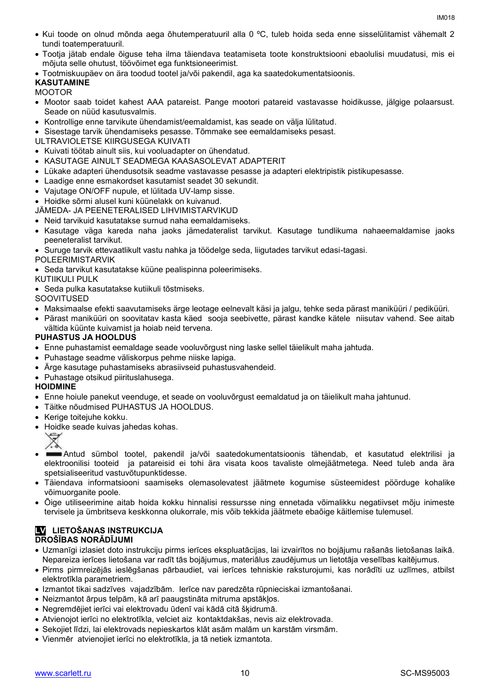- Kui toode on olnud mõnda aega õhutemperatuuril alla 0 ºC, tuleb hoida seda enne sisselülitamist vähemalt 2 tundi toatemperatuuril.
- Tootja jätab endale õiguse teha ilma täiendava teatamiseta toote konstruktsiooni ebaolulisi muudatusi, mis ei mõjuta selle ohutust, töövõimet ega funktsioneerimist.
- Tootmiskuupäev on ära toodud tootel ja/või pakendil, aga ka saatedokumentatsioonis.

### **KASUTAMINE**

MOOTOR

- Mootor saab toidet kahest AAA patareist. Pange mootori patareid vastavasse hoidikusse, jälgige polaarsust. Seade on nüüd kasutusvalmis.
- Kontrollige enne tarvikute ühendamist/eemaldamist, kas seade on välja lülitatud.
- Sisestage tarvik ühendamiseks pesasse. Tõmmake see eemaldamiseks pesast.
- ULTRAVIOLETSE KIIRGUSEGA KUIVATI
- Kuivati töötab ainult siis, kui vooluadapter on ühendatud.
- KASUTAGE AINULT SEADMEGA KAASASOLEVAT ADAPTERIT
- Lükake adapteri ühendusotsik seadme vastavasse pesasse ja adapteri elektripistik pistikupesasse.
- Laadige enne esmakordset kasutamist seadet 30 sekundit.
- Vajutage ON/OFF nupule, et lülitada UV-lamp sisse.
- Hoidke sõrmi alusel kuni küünelakk on kuivanud.

JÄMEDA- JA PEENETERALISED LIHVIMISTARVIKUD

- Neid tarvikuid kasutatakse surnud naha eemaldamiseks.
- Kasutage väga kareda naha jaoks jämedateralist tarvikut. Kasutage tundlikuma nahaeemaldamise jaoks peeneteralist tarvikut.
- Suruge tarvik ettevaatlikult vastu nahka ja töödelge seda, liigutades tarvikut edasi-tagasi.
- POLEERIMISTARVIK
- Seda tarvikut kasutatakse küüne pealispinna poleerimiseks.

KUTIIKULI PULK

- Seda pulka kasutatakse kutiikuli tõstmiseks.
- **SOOVITUSED**
- Maksimaalse efekti saavutamiseks ärge leotage eelnevalt käsi ja jalgu, tehke seda pärast maniküüri / pediküüri.
- Pärast maniküüri on soovitatav kasta käed sooja seebivette, pärast kandke kätele niisutav vahend. See aitab vältida küünte kuivamist ja hoiab neid tervena.

### **PUHASTUS JA HOOLDUS**

- Enne puhastamist eemaldage seade vooluvõrgust ning laske sellel täielikult maha jahtuda.
- Puhastage seadme väliskorpus pehme niiske lapiga.
- Ärge kasutage puhastamiseks abrasiivseid puhastusvahendeid.
- Puhastage otsikud piirituslahusega.

### **HOIDMINE**

- Enne hoiule panekut veenduge, et seade on vooluvõrgust eemaldatud ja on täielikult maha jahtunud.
- Täitke nõudmised PUHASTUS JA HOOLDUS.
- Kerige toitejuhe kokku.
- Hoidke seade kuivas jahedas kohas.

- Antud sümbol tootel, pakendil ja/või saatedokumentatsioonis tähendab, et kasutatud elektrilisi ja elektroonilisi tooteid ja patareisid ei tohi ära visata koos tavaliste olmejäätmetega. Need tuleb anda ära spetsialiseeritud vastuvõtupunktidesse.
- Täiendava informatsiooni saamiseks olemasolevatest jäätmete kogumise süsteemidest pöörduge kohalike võimuorganite poole.
- Õige utiliseerimine aitab hoida kokku hinnalisi ressursse ning ennetada võimalikku negatiivset mõju inimeste tervisele ja ümbritseva keskkonna olukorrale, mis võib tekkida jäätmete ebaõige käitlemise tulemusel.

### **LV LIETOŠANAS INSTRUKCIJA DROŠĪBAS NORĀDĪJUMI**

- Uzmanīgi izlasiet doto instrukciju pirms ierīces ekspluatācijas, lai izvairītos no bojājumu rašanās lietošanas laikā. Nepareiza ierīces lietošana var radīt tās bojājumus, materiālus zaudējumus un lietotāja veselības kaitējumus.
- Pirms pirmreizējās ieslēgšanas pārbaudiet, vai ierīces tehniskie raksturojumi, kas norādīti uz uzlīmes, atbilst elektrotīkla parametriem.
- Izmantot tikai sadzīves vajadzībām. Ierīce nav paredzēta rūpnieciskai izmantošanai.
- Neizmantot ārpus telpām, kā arī paaugstināta mitruma apstākļos.
- Negremdējiet ierīci vai elektrovadu ūdenī vai kādā citā šķidrumā.
- Atvienojot ierīci no elektrotīkla, velciet aiz kontaktdakšas, nevis aiz elektrovada.
- Sekojiet līdzi, lai elektrovads nepieskartos klāt asām malām un karstām virsmām.
- Vienmēr atvienojiet ierīci no elektrotīkla, ja tā netiek izmantota.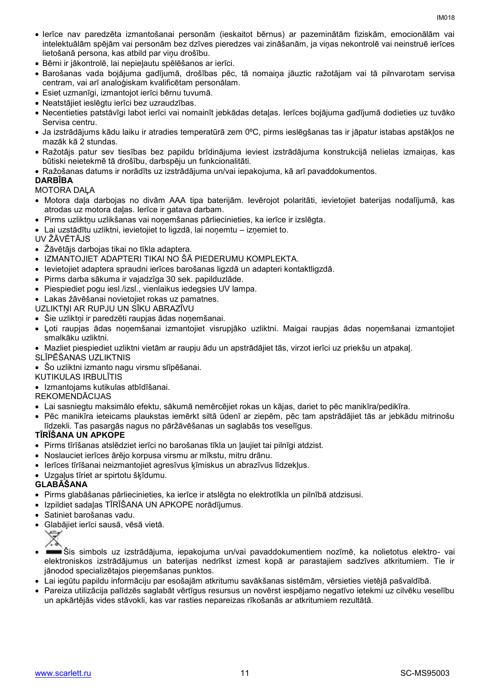- Ierīce nav paredzēta izmantošanai personām (ieskaitot bērnus) ar pazeminātām fiziskām, emocionālām vai intelektuālām spējām vai personām bez dzīves pieredzes vai zināšanām, ja viņas nekontrolē vai neinstruē ierīces lietošanā persona, kas atbild par viņu drošību.
- Bērni ir jākontrolē, lai nepieļautu spēlēšanos ar ierīci.
- Barošanas vada bojājuma gadījumā, drošības pēc, tā nomaiņa jāuztic ražotājam vai tā pilnvarotam servisa centram, vai arī analoģiskam kvalificētam personālam.
- Esiet uzmanīgi, izmantojot ierīci bērnu tuvumā.
- Neatstājiet ieslēgtu ierīci bez uzraudzības.
- Necentieties patstāvīgi labot ierīci vai nomainīt jebkādas detaļas. Ierīces bojājuma gadījumā dodieties uz tuvāko Servisa centru.
- Ja izstrādājums kādu laiku ir atradies temperatūrā zem 0ºC, pirms ieslēgšanas tas ir jāpatur istabas apstākļos ne mazāk kā 2 stundas.
- Ražotājs patur sev tiesības bez papildu brīdinājuma ieviest izstrādājuma konstrukcijā nelielas izmaiņas, kas būtiski neietekmē tā drošību, darbspēju un funkcionalitāti.

Ražošanas datums ir norādīts uz izstrādājuma un/vai iepakojuma, kā arī pavaddokumentos.

### **DARBĪBA**

### MOTORA DAĻA

- Motora daļa darbojas no divām AAA tipa baterijām. Ievērojot polaritāti, ievietojiet baterijas nodalījumā, kas atrodas uz motora daļas. Ierīce ir gatava darbam.
- Pirms uzliktņu uzlikšanas vai noņemšanas pārliecinieties, ka ierīce ir izslēgta.
- Lai uzstādītu uzliktni, ievietojiet to ligzdā, lai noņemtu izņemiet to.

### UV ŽĀVĒTĀJS

- Žāvētājs darbojas tikai no tīkla adaptera.
- IZMANTOJIET ADAPTERI TIKAI NO ŠĀ PIEDERUMU KOMPLEKTA.
- Ievietojiet adaptera spraudni ierīces barošanas ligzdā un adapteri kontaktligzdā.
- Pirms darba sākuma ir vajadzīga 30 sek. papilduzlāde.
- Piespiediet pogu iesl./izsl., vienlaikus iedegsies UV lampa.
- Lakas žāvēšanai novietojiet rokas uz pamatnes.

UZLIKTŅI AR RUPJU UN SĪKU ABRAZĪVU

- Šie uzliktņi ir paredzēti raupjas ādas noņemšanai.
- Loti raupjas ādas noņemšanai izmantojiet visrupjāko uzliktni. Maigai raupjas ādas noņemšanai izmantojiet smalkāku uzliktni.
- Mazliet piespiediet uzliktni vietām ar raupju ādu un apstrādājiet tās, virzot ierīci uz priekšu un atpakaļ.
- SLĪPĒŠANAS UZLIKTNIS
- Šo uzliktni izmanto nagu virsmu slīpēšanai.

### KUTIKULAS IRBULĪTIS

Izmantojams kutikulas atbīdīšanai.

### REKOMENDĀCIJAS

- Lai sasniegtu maksimālo efektu, sākumā nemērcējiet rokas un kājas, dariet to pēc manikīra/pedikīra.
- Pēc manikīra ieteicams plaukstas iemērkt siltā ūdenī ar ziepēm, pēc tam apstrādājiet tās ar jebkādu mitrinošu līdzekli. Tas pasargās nagus no pāržāvēšanas un saglabās tos veselīgus.

### **TĪRĪŠANA UN APKOPE**

- Pirms tīrīšanas atslēdziet ierīci no barošanas tīkla un ļaujiet tai pilnīgi atdzist.
- Noslauciet ierīces ārējo korpusa virsmu ar mīkstu, mitru drānu.
- Ierīces tīrīšanai neizmantojiet agresīvus ķīmiskus un abrazīvus līdzekļus.
- Uzgaļus tīriet ar spirtotu šķīdumu.

### **GLABĀŠANA**

- Pirms glabāšanas pārliecinieties, ka ierīce ir atslēgta no elektrotīkla un pilnībā atdzisusi.
- Izpildiet sadaļas TĪRĪŠANA UN APKOPE norādījumus.
- Satiniet barošanas vadu.
- Glabājiet ierīci sausā, vēsā vietā.



- Šis simbols uz izstrādājuma, iepakojuma un/vai pavaddokumentiem nozīmē, ka nolietotus elektro- vai elektroniskos izstrādājumus un baterijas nedrīkst izmest kopā ar parastajiem sadzīves atkritumiem. Tie ir jānodod specializētajos pieņemšanas punktos.
- Lai iegūtu papildu informāciju par esošajām atkritumu savākšanas sistēmām, vērsieties vietējā pašvaldībā.
- Pareiza utilizācija palīdzēs saglabāt vērtīgus resursus un novērst iespējamo negatīvo ietekmi uz cilvēku veselību un apkārtējās vides stāvokli, kas var rasties nepareizas rīkošanās ar atkritumiem rezultātā.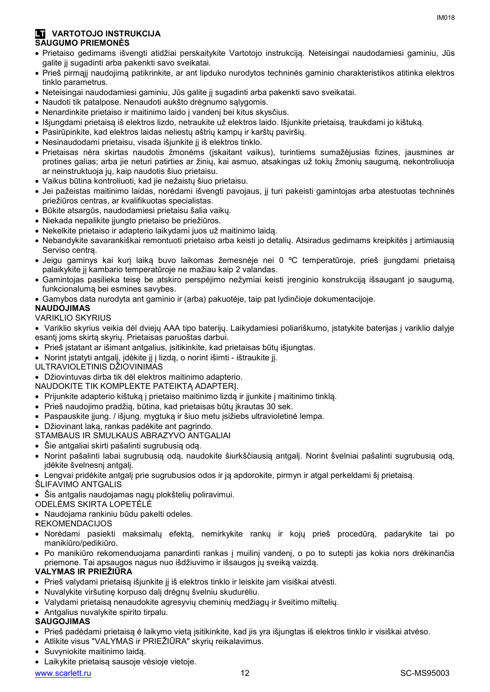### **LT VARTOTOJO INSTRUKCIJA SAUGUMO PRIEMONĖS**

- Prietaiso gedimams išvengti atidžiai perskaitykite Vartotojo instrukciją. Neteisingai naudodamiesi gaminiu, Jūs galite jį sugadinti arba pakenkti savo sveikatai.
- Prieš pirmąjį naudojimą patikrinkite, ar ant lipduko nurodytos techninės gaminio charakteristikos atitinka elektros tinklo parametrus.
- Neteisingai naudodamiesi gaminiu, Jūs galite jį sugadinti arba pakenkti savo sveikatai.
- Naudoti tik patalpose. Nenaudoti aukšto drėgnumo sąlygomis.
- Nenardinkite prietaiso ir maitinimo laido į vandenį bei kitus skysčius.
- Išjungdami prietaisą iš elektros lizdo, netraukite už elektros laido. Išjunkite prietaisą, traukdami jo kištuką.
- Pasirūpinkite, kad elektros laidas neliestų aštrių kampų ir karštų paviršių.
- Nesinaudodami prietaisu, visada išjunkite jį iš elektros tinklo.
- Prietaisas nėra skirtas naudotis žmonėms (įskaitant vaikus), turintiems sumažėjusias fizines, jausmines ar protines galias; arba jie neturi patirties ar žinių, kai asmuo, atsakingas už tokių žmonių saugumą, nekontroliuoja ar neinstruktuoja jų, kaip naudotis šiuo prietaisu.
- Vaikus būtina kontroliuoti, kad jie nežaistų šiuo prietaisu.
- Jei pažeistas maitinimo laidas, norėdami išvengti pavojaus, jį turi pakeisti gamintojas arba atestuotas techninės priežiūros centras, ar kvalifikuotas specialistas.
- Būkite atsargūs, naudodamiesi prietaisu šalia vaikų.
- Niekada nepalikite įjungto prietaiso be priežiūros.
- Nekelkite prietaiso ir adapterio laikydami juos už maitinimo laidą.
- Nebandykite savarankiškai remontuoti prietaiso arba keisti jo detalių. Atsiradus gedimams kreipkitės į artimiausią Serviso centrą.
- Jeigu gaminys kai kurį laiką buvo laikomas žemesnėje nei 0 ºC temperatūroje, prieš įjungdami prietaisą palaikykite jį kambario temperatūroje ne mažiau kaip 2 valandas.
- Gamintojas pasilieka teisę be atskiro perspėjimo nežymiai keisti įrenginio konstrukciją išsaugant jo saugumą, funkcionalumą bei esmines savybes.
- Gamybos data nurodyta ant gaminio ir (arba) pakuotėje, taip pat lydinčioje dokumentacijoje.

### **NAUDOJIMAS**

VARIKLIO SKYRIUS

 Variklio skyrius veikia dėl dviejų AAA tipo baterijų. Laikydamiesi poliariškumo, įstatykite baterijas į variklio dalyje esantį joms skirtą skyrių. Prietaisas paruoštas darbui.

- Prieš įstatant ar išimant antgalius, įsitikinkite, kad prietaisas būtų išjungtas.
- Norint įstatyti antgalį, įdėkite jį į lizdą, o norint išimti ištraukite jį.
- ULTRAVIOLETINIS DŽIOVINIMAS
- Džiovintuvas dirba tik dėl elektros maitinimo adapterio.
- NAUDOKITE TIK KOMPLEKTE PATEIKTĄ ADAPTERĮ.
- Prijunkite adapterio kištuką į prietaiso maitinimo lizdą ir įjunkite į maitinimo tinklą.
- Prieš naudojimo pradžią, būtina, kad prietaisas būtų įkrautas 30 sek.
- Paspauskite įjung. / išjung. mygtuką ir šiuo metu įsižiebs ultravioletinė lempa.
- Džiovinant laką, rankas padėkite ant pagrindo.
- STAMBAUS IR SMULKAUS ABRAZYVO ANTGALIAI
- Šie antgaliai skirti pašalinti sugrubusią odą.
- Norint pašalinti labai sugrubusią odą, naudokite šiurkščiausią antgalį. Norint švelniai pašalinti sugrubusią odą, įdėkite švelnesnį antgalį.
- Lengvai pridėkite antgalį prie sugrubusios odos ir ją apdorokite, pirmyn ir atgal perkeldami šį prietaisą.
- ŠLIFAVIMO ANTGALIS
- Šis antgalis naudojamas nagų plokštelių poliravimui.
- ODELĖMS SKIRTA LOPETĖLĖ
- Naudojama rankiniu būdu pakelti odeles.

### REKOMENDACIJOS

- Norėdami pasiekti maksimalų efektą, nemirkykite rankų ir kojų prieš procedūrą, padarykite tai po manikiūro/pedikiūro.
- Po manikiūro rekomenduojama panardinti rankas į muilinį vandenį, o po to sutepti jas kokia nors drėkinančia priemone. Tai apsaugos nagus nuo išdžiuvimo ir išsaugos jų sveiką vaizdą.

### **VALYMAS IR PRIEŽIŪRA**

- Prieš valydami prietaisą išjunkite jį iš elektros tinklo ir leiskite jam visiškai atvėsti.
- Nuvalykite viršutinę korpuso dalį drėgnų švelniu skudurėliu.
- Valydami prietaisą nenaudokite agresyvių cheminių medžiagų ir šveitimo miltelių.
- Antgalius nuvalykite spirito tirpalu.

### **SAUGOJIMAS**

- Prieš padėdami prietaisą ė laikymo vietą įsitikinkite, kad jis yra išjungtas iš elektros tinklo ir visiškai atvėso.
- Atlikite visus "VALYMAS ir PRIEŽIŪRA" skyrių reikalavimus.
- Suvyniokite maitinimo laidą.
- Laikykite prietaisą sausoje vėsioje vietoje.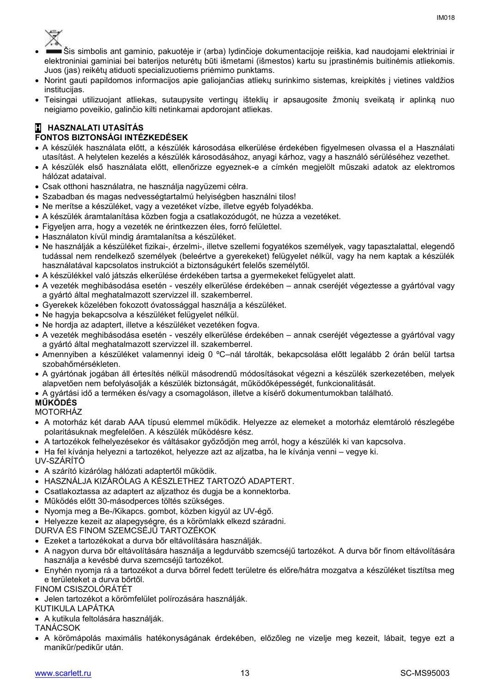



- Šis simbolis ant gaminio, pakuotėje ir (arba) lydinčioje dokumentacijoje reiškia, kad naudojami elektriniai ir elektroniniai gaminiai bei baterijos neturėtų būti išmetami (išmestos) kartu su įprastinėmis buitinėmis atliekomis. Juos (jas) reikėtų atiduoti specializuotiems priėmimo punktams.
- Norint gauti papildomos informacijos apie galiojančias atliekų surinkimo sistemas, kreipkitės į vietines valdžios institucijas.
- Teisingai utilizuojant atliekas, sutaupysite vertingų išteklių ir apsaugosite žmonių sveikatą ir aplinką nuo neigiamo poveikio, galinčio kilti netinkamai apdorojant atliekas.

### **H** HASZNALATI UTASÍTÁS **FONTOS BIZTONSÁGI INTÉZKEDÉSEK**

- A készülék használata előtt, a készülék károsodása elkerülése érdekében figyelmesen olvassa el a Használati utasítást. A helytelen kezelés a készülék károsodásához, anyagi kárhoz, vagy a használó sérüléséhez vezethet.
- A készülék első használata előtt, ellenőrizze egyeznek-e a címkén megjelölt műszaki adatok az elektromos hálózat adataival.
- Csak otthoni használatra, ne használja nagyüzemi célra.
- Szabadban és magas nedvességtartalmú helyiségben használni tilos!
- Ne merítse a készüléket, vagy a vezetéket vízbe, illetve egyéb folyadékba.
- A készülék áramtalanítása közben fogja a csatlakozódugót, ne húzza a vezetéket.
- Figyeljen arra, hogy a vezeték ne érintkezzen éles, forró felülettel.
- Használaton kívül mindig áramtalanítsa a készüléket.
- Ne használják a készüléket fizikai-, érzelmi-, illetve szellemi fogyatékos személyek, vagy tapasztalattal, elegendő tudással nem rendelkező személyek (beleértve a gyerekeket) felügyelet nélkül, vagy ha nem kaptak a készülék használatával kapcsolatos instrukciót a biztonságukért felelős személytől.
- A készülékkel való játszás elkerülése érdekében tartsa a gyermekeket felügyelet alatt.
- A vezeték meghibásodása esetén veszély elkerülése érdekében annak cseréjét végeztesse a gyártóval vagy a gyártó által meghatalmazott szervizzel ill. szakemberrel.
- Gyerekek közelében fokozott óvatossággal használja a készüléket.
- Ne hagyja bekapcsolva a készüléket felügyelet nélkül.
- Ne hordja az adaptert, illetve a készüléket vezetéken fogva.
- A vezeték meghibásodása esetén veszély elkerülése érdekében annak cseréjét végeztesse a gyártóval vagy a gyártó által meghatalmazott szervizzel ill. szakemberrel.
- Amennyiben a készüléket valamennyi ideig 0 ºC–nál tárolták, bekapcsolása előtt legalább 2 órán belül tartsa szobahőmérsékleten.
- A gyártónak jogában áll értesítés nélkül másodrendű módosításokat végezni a készülék szerkezetében, melyek alapvetően nem befolyásolják a készülék biztonságát, működőképességét, funkcionalitását.
- A gyártási idő a terméken és/vagy a csomagoláson, illetve a kísérő dokumentumokban található.

### **MŰKÖDÉS**

### MOTORHÁZ

- A motorház két darab ААA típusú elemmel működik. Helyezze az elemeket a motorház elemtároló részlegébe polaritásuknak megfelelően. A készülék működésre kész.
- A tartozékok felhelyezésekor és váltásakor győződjön meg arról, hogy a készülék ki van kapcsolva.
- Ha fel kívánja helyezni a tartozékot, helyezze azt az aljzatba, ha le kívánja venni vegye ki.
- UV-SZÁRÍTÓ
- A szárító kizárólag hálózati adaptertől működik.
- HASZNÁLJA KIZÁRÓLAG A KÉSZLETHEZ TARTOZÓ ADAPTERT.
- Csatlakoztassa az adaptert az aljzathoz és dugja be a konnektorba.
- Működés előtt 30-másodperces töltés szükséges.
- Nyomja meg a Be-/Kikapcs. gombot, közben kigyúl az UV-égő.
- Helyezze kezeit az alapegységre, és a körömlakk elkezd száradni.
- DURVA ÉS FINOM SZEMCSÉJŰ TARTOZÉKOK
- Ezeket a tartozékokat a durva bőr eltávolítására használják.
- A nagyon durva bőr eltávolítására használja a legdurvább szemcséjű tartozékot. A durva bőr finom eltávolítására használja a kevésbé durva szemcséjű tartozékot.
- Enyhén nyomja rá a tartozékot a durva bőrrel fedett területre és előre/hátra mozgatva a készüléket tisztítsa meg e területeket a durva bőrtől.

FINOM CSISZOLÓRÁTÉT

Jelen tartozékot a körömfelület polírozására használják.

KUTIKULA LAPÁTKA

A kutikula feltolására használják.

TANÁCSOK

 A körömápolás maximális hatékonyságának érdekében, előzőleg ne vizelje meg kezeit, lábait, tegye ezt a manikűr/pedikűr után.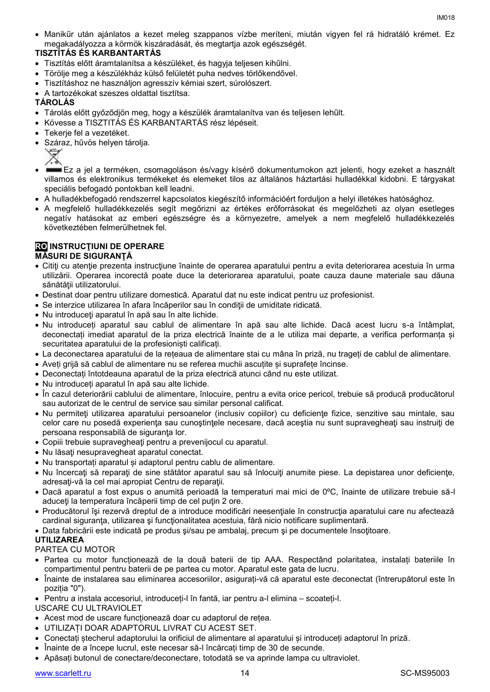Manikűr után ajánlatos a kezet meleg szappanos vízbe meríteni, miután vigyen fel rá hidratáló krémet. Ez megakadályozza a körmök kiszáradását, és megtartja azok egészségét.

### **TISZTÍTÁS ÉS KARBANTARTÁS**

- Tisztítás előtt áramtalanítsa a készüléket, és hagyja teljesen kihűlni.
- Törölje meg a készülékház külső felületét puha nedves törlőkendővel.
- Tisztításhoz ne használjon agresszív kémiai szert, súrolószert.
- A tartozékokat szeszes oldattal tisztítsa.

### **TÁROLÁS**

- Tárolás előtt győződjön meg, hogy a készülék áramtalanítva van és teljesen lehűlt.
- Kövesse a TISZTITÁS ÉS KARBANTARTÁS rész lépéseit.
- Tekerje fel a vezetéket.
- Száraz, hűvös helyen tárolia.

∀

- Ez a jel a terméken, csomagoláson és/vagy kísérő dokumentumokon azt jelenti, hogy ezeket a használt villamos és elektronikus termékeket és elemeket tilos az általános háztartási hulladékkal kidobni. E tárgyakat speciális befogadó pontokban kell leadni.
- A hulladékbefogadó rendszerrel kapcsolatos kiegészítő információért forduljon a helyi illetékes hatósághoz.
- A megfelelő hulladékkezelés segít megőrizni az értékes erőforrásokat és megelőzheti az olyan esetleges negatív hatásokat az emberi egészségre és a környezetre, amelyek a nem megfelelő hulladékkezelés következtében felmerülhetnek fel.

### **RO INSTRUCŢIUNI DE OPERARE MĂSURI DE SIGURANŢĂ**

- Cititi cu atentie prezenta instructiune înainte de operarea aparatului pentru a evita deteriorarea acestuia în urma utilizării. Operarea incorectă poate duce la deteriorarea aparatului, poate cauza daune materiale sau dăuna sănătății utilizatorului.
- Destinat doar pentru utilizare domestică. Aparatul dat nu este indicat pentru uz profesionist.
- Se interzice utilizarea în afara încăperilor sau în condiţii de umiditate ridicată.
- Nu introduceti aparatul în apă sau în alte lichide.
- Nu introduceți aparatul sau cablul de alimentare în apă sau alte lichide. Dacă acest lucru s-a întâmplat, deconectați imediat aparatul de la priza electrică înainte de a le utiliza mai departe, a verifica performanța și securitatea aparatului de la profesioniști calificați.
- La deconectarea aparatului de la rețeaua de alimentare stai cu mâna în priză, nu trageți de cablul de alimentare.
- Aveți grijă să cablul de alimentare nu se referea muchii ascuțite și suprafețe încinse.
- Deconectați întotdeauna aparatul de la priza electrică atunci când nu este utilizat.
- Nu introduceți aparatul în apă sau alte lichide.
- În cazul deteriorării cablului de alimentare, înlocuire, pentru a evita orice pericol, trebuie să producă producătorul sau autorizat de le centrul de service sau similar personal calificat.
- Nu permiteţi utilizarea aparatului persoanelor (inclusiv copiilor) cu deficienţe fizice, senzitive sau mintale, sau celor care nu posedă experienţa sau cunoştinţele necesare, dacă aceştia nu sunt supravegheaţi sau instruiţi de persoana responsabilă de siguranţa lor.
- Copiii trebuie supravegheaţi pentru a prevenijocul cu aparatul.
- Nu lăsați nesupravegheat aparatul conectat.
- Nu transportați aparatul și adaptorul pentru cablu de alimentare.
- Nu încercați să reparați de sine stătător aparatul sau să înlocuiți anumite piese. La depistarea unor deficiențe, adresati-vă la cel mai apropiat Centru de reparații.
- Dacă aparatul a fost expus o anumită perioadă la temperaturi mai mici de 0ºC, înainte de utilizare trebuie să-l aduceţi la temperatura încăperii timp de cel puţin 2 ore.
- Producătorul își rezervă dreptul de a introduce modificări neesențiale în construcția aparatului care nu afectează cardinal siguranța, utilizarea și funcționalitatea acestuia, fără nicio notificare suplimentară.

• Data fabricării este indicată pe produs si/sau pe ambalai, precum și pe documentele însotitoare.

### **UTILIZAREA**

PARTEA CU MOTOR

- Partea cu motor funcționează de la două baterii de tip AAA. Respectând polaritatea, instalați bateriile în compartimentul pentru baterii de pe partea cu motor. Aparatul este gata de lucru.
- Înainte de instalarea sau eliminarea accesoriilor, asigurați-vă că aparatul este deconectat (întrerupătorul este în poziția "0").
- Pentru a instala accesoriul, introduceți-l în fantă, iar pentru a-l elimina scoateți-l.

### USCARE CU ULTRAVIOLET

- Acest mod de uscare funcționează doar cu adaptorul de rețea.
- UTILIZAȚI DOAR ADAPTORUL LIVRAT CU ACEST SET.
- Conectați ștecherul adaptorului la orificiul de alimentare al aparatului și introduceți adaptorul în priză.
- Înainte de a începe lucrul, este necesar să-l încărcați timp de 30 de secunde.
- Apăsați butonul de conectare/deconectare, totodată se va aprinde lampa cu ultraviolet.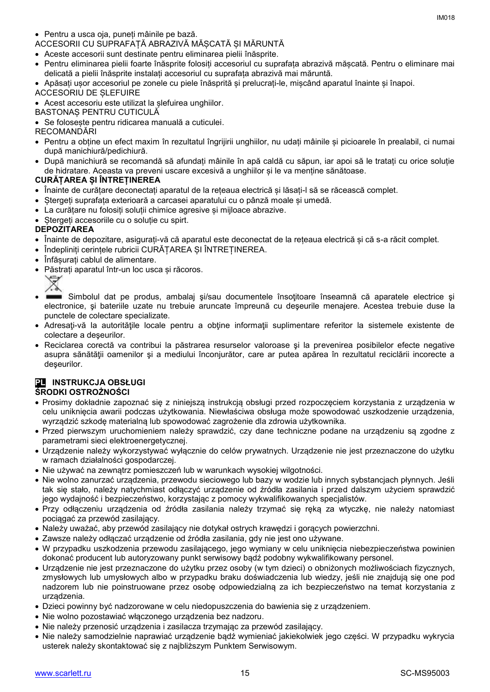- Pentru a usca oja, puneți mâinile pe bază.
- ACCESORII CU SUPRAFAȚĂ ABRAZIVĂ MĂȘCATĂ ȘI MĂRUNTĂ
- Aceste accesorii sunt destinate pentru eliminarea pielii înăsprite.
- Pentru eliminarea pielii foarte înăsprite folosiți accesoriul cu suprafața abrazivă mășcată. Pentru o eliminare mai delicată a pielii înăsprite instalați accesoriul cu suprafața abrazivă mai măruntă.
- Apăsați ușor accesoriul pe zonele cu piele înăsprită și prelucrați-le, mișcând aparatul înainte și înapoi.

### ACCESORIU DE ȘLEFUIRE

Acest accesoriu este utilizat la șlefuirea unghiilor.

BASTONAȘ PENTRU CUTICULĂ

- Se folosește pentru ridicarea manuală a cuticulei.
- **RECOMANDĂRI**
- Pentru a obține un efect maxim în rezultatul îngrijirii unghiilor, nu udați mâinile și picioarele în prealabil, ci numai după manichiură/pedichiură.
- După manichiură se recomandă să afundați mâinile în apă caldă cu săpun, iar apoi să le tratați cu orice soluție de hidratare. Aceasta va preveni uscare excesivă a unghiilor și le va menține sănătoase.

### **CURĂȚAREA ȘI ÎNTREȚINEREA**

- Înainte de curățare deconectați aparatul de la rețeaua electrică și lăsați-l să se răcească complet.
- Ștergeți suprafața exterioară a carcasei aparatului cu o pânză moale și umedă.
- La curățare nu folosiți soluții chimice agresive și mijloace abrazive.
- Ștergeți accesoriile cu o soluție cu spirt.

### **DEPOZITAREA**

- Înainte de depozitare, asigurați-vă că aparatul este deconectat de la rețeaua electrică și că s-a răcit complet.
- Îndepliniți cerințele rubricii CURĂȚAREA ȘI ÎNTREȚINEREA.
- Înfășurați cablul de alimentare.
- Păstrați aparatul într-un loc usca și răcoros.

- Simbolul dat pe produs, ambalaj și/sau documentele însoțitoare înseamnă că aparatele electrice și electronice, şi bateriile uzate nu trebuie aruncate împreună cu deşeurile menajere. Acestea trebuie duse la punctele de colectare specializate.
- Adresaţi-vă la autorităţile locale pentru a obţine informaţii suplimentare referitor la sistemele existente de colectare a deşeurilor.
- Reciclarea corectă va contribui la păstrarea resurselor valoroase şi la prevenirea posibilelor efecte negative asupra sănătăţii oamenilor şi a mediului înconjurător, care ar putea apărea în rezultatul reciclării incorecte a deşeurilor.

## **PL INSTRUKCJA OBSŁUGI**

### **ŚRODKI OSTROŻNOŚCI**

- Prosimy dokładnie zapoznać się z niniejszą instrukcją obsługi przed rozpoczęciem korzystania z urządzenia w celu uniknięcia awarii podczas użytkowania. Niewłaściwa obsługa może spowodować uszkodzenie urządzenia, wyrządzić szkodę materialną lub spowodować zagrożenie dla zdrowia użytkownika.
- Przed pierwszym uruchomieniem należy sprawdzić, czy dane techniczne podane na urządzeniu są zgodne z parametrami sieci elektroenergetycznej.
- Urządzenie należy wykorzystywać wyłącznie do celów prywatnych. Urządzenie nie jest przeznaczone do użytku w ramach działalności gospodarczej.
- Nie używać na zewnątrz pomieszczeń lub w warunkach wysokiej wilgotności.
- Nie wolno zanurzać urządzenia, przewodu sieciowego lub bazy w wodzie lub innych sybstancjach płynnych. Jeśli tak się stało, należy natychmiast odłączyć urządzenie od źródła zasilania i przed dalszym użyciem sprawdzić jego wydajność i bezpieczeństwo, korzystając z pomocy wykwalifikowanych specjalistów.
- Przy odłączeniu urządzenia od źródła zasilania należy trzymać się ręką za wtyczkę, nie należy natomiast pociągać za przewód zasilający.
- Należy uważać, aby przewód zasilający nie dotykał ostrych krawędzi i gorących powierzchni.
- Zawsze należy odłączać urządzenie od źródła zasilania, gdy nie jest ono używane.
- W przypadku uszkodzenia przewodu zasilającego, jego wymiany w celu uniknięcia niebezpieczeństwa powinien dokonać producent lub autoryzowany punkt serwisowy bądź podobny wykwalifikowany personel.
- Urządzenie nie jest przeznaczone do użytku przez osoby (w tym dzieci) o obniżonych możliwościach fizycznych, zmysłowych lub umysłowych albo w przypadku braku doświadczenia lub wiedzy, jeśli nie znajdują się one pod nadzorem lub nie poinstruowane przez osobę odpowiedzialną za ich bezpieczeństwo na temat korzystania z urządzenia.
- Dzieci powinny być nadzorowane w celu niedopuszczenia do bawienia się z urządzeniem.
- Nie wolno pozostawiać włączonego urządzenia bez nadzoru.
- Nie należy przenosić urządzenia i zasilacza trzymając za przewód zasilający.
- Nie należy samodzielnie naprawiać urządzenie bądź wymieniać jakiekolwiek jego części. W przypadku wykrycia usterek należy skontaktować się z najbliższym Punktem Serwisowym.